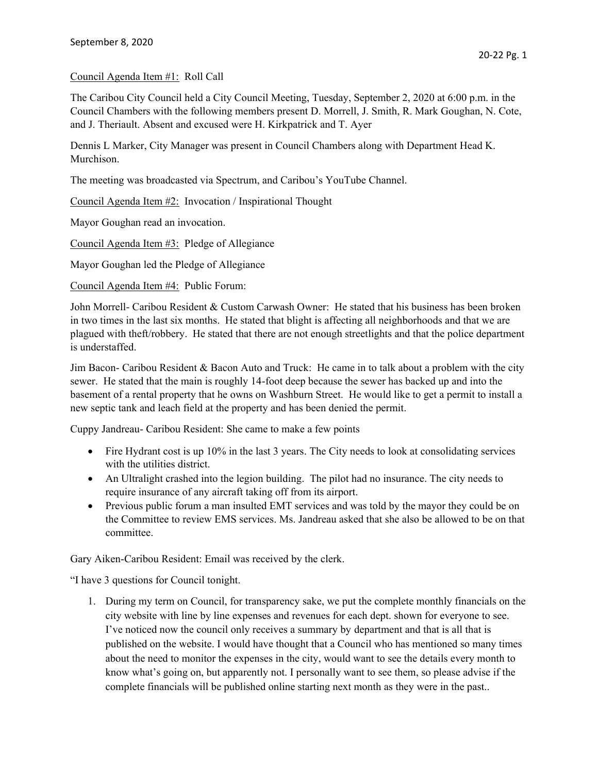## Council Agenda Item #1: Roll Call

The Caribou City Council held a City Council Meeting, Tuesday, September 2, 2020 at 6:00 p.m. in the Council Chambers with the following members present D. Morrell, J. Smith, R. Mark Goughan, N. Cote, and J. Theriault. Absent and excused were H. Kirkpatrick and T. Ayer

Dennis L Marker, City Manager was present in Council Chambers along with Department Head K. Murchison.

The meeting was broadcasted via Spectrum, and Caribou's YouTube Channel.

Council Agenda Item #2: Invocation / Inspirational Thought

Mayor Goughan read an invocation.

Council Agenda Item #3: Pledge of Allegiance

Mayor Goughan led the Pledge of Allegiance

Council Agenda Item #4: Public Forum:

John Morrell- Caribou Resident & Custom Carwash Owner: He stated that his business has been broken in two times in the last six months. He stated that blight is affecting all neighborhoods and that we are plagued with theft/robbery. He stated that there are not enough streetlights and that the police department is understaffed.

Jim Bacon- Caribou Resident & Bacon Auto and Truck: He came in to talk about a problem with the city sewer. He stated that the main is roughly 14-foot deep because the sewer has backed up and into the basement of a rental property that he owns on Washburn Street. He would like to get a permit to install a new septic tank and leach field at the property and has been denied the permit.

Cuppy Jandreau- Caribou Resident: She came to make a few points

- Fire Hydrant cost is up 10% in the last 3 years. The City needs to look at consolidating services with the utilities district.
- An Ultralight crashed into the legion building. The pilot had no insurance. The city needs to require insurance of any aircraft taking off from its airport.
- Previous public forum a man insulted EMT services and was told by the mayor they could be on the Committee to review EMS services. Ms. Jandreau asked that she also be allowed to be on that committee.

Gary Aiken-Caribou Resident: Email was received by the clerk.

"I have 3 questions for Council tonight.

1. During my term on Council, for transparency sake, we put the complete monthly financials on the city website with line by line expenses and revenues for each dept. shown for everyone to see. I've noticed now the council only receives a summary by department and that is all that is published on the website. I would have thought that a Council who has mentioned so many times about the need to monitor the expenses in the city, would want to see the details every month to know what's going on, but apparently not. I personally want to see them, so please advise if the complete financials will be published online starting next month as they were in the past..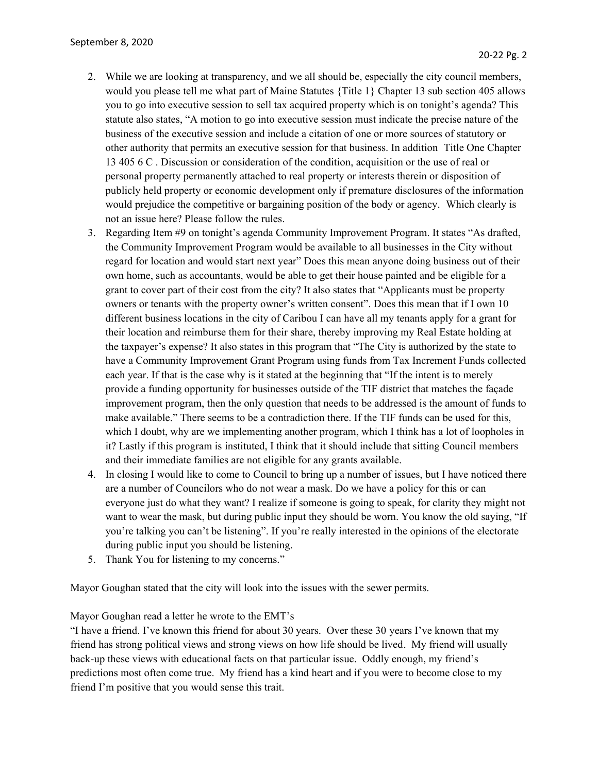- 2. While we are looking at transparency, and we all should be, especially the city council members, would you please tell me what part of Maine Statutes {Title 1} Chapter 13 sub section 405 allows you to go into executive session to sell tax acquired property which is on tonight's agenda? This statute also states, "A motion to go into executive session must indicate the precise nature of the business of the executive session and include a citation of one or more sources of statutory or other authority that permits an executive session for that business. In addition Title One Chapter 13 405 6 C . Discussion or consideration of the condition, acquisition or the use of real or personal property permanently attached to real property or interests therein or disposition of publicly held property or economic development only if premature disclosures of the information would prejudice the competitive or bargaining position of the body or agency. Which clearly is not an issue here? Please follow the rules.
- 3. Regarding Item #9 on tonight's agenda Community Improvement Program. It states "As drafted, the Community Improvement Program would be available to all businesses in the City without regard for location and would start next year" Does this mean anyone doing business out of their own home, such as accountants, would be able to get their house painted and be eligible for a grant to cover part of their cost from the city? It also states that "Applicants must be property owners or tenants with the property owner's written consent". Does this mean that if I own 10 different business locations in the city of Caribou I can have all my tenants apply for a grant for their location and reimburse them for their share, thereby improving my Real Estate holding at the taxpayer's expense? It also states in this program that "The City is authorized by the state to have a Community Improvement Grant Program using funds from Tax Increment Funds collected each year. If that is the case why is it stated at the beginning that "If the intent is to merely provide a funding opportunity for businesses outside of the TIF district that matches the façade improvement program, then the only question that needs to be addressed is the amount of funds to make available." There seems to be a contradiction there. If the TIF funds can be used for this, which I doubt, why are we implementing another program, which I think has a lot of loopholes in it? Lastly if this program is instituted, I think that it should include that sitting Council members and their immediate families are not eligible for any grants available.
- 4. In closing I would like to come to Council to bring up a number of issues, but I have noticed there are a number of Councilors who do not wear a mask. Do we have a policy for this or can everyone just do what they want? I realize if someone is going to speak, for clarity they might not want to wear the mask, but during public input they should be worn. You know the old saying, "If you're talking you can't be listening". If you're really interested in the opinions of the electorate during public input you should be listening.
- 5. Thank You for listening to my concerns."

Mayor Goughan stated that the city will look into the issues with the sewer permits.

Mayor Goughan read a letter he wrote to the EMT's

"I have a friend. I've known this friend for about 30 years. Over these 30 years I've known that my friend has strong political views and strong views on how life should be lived. My friend will usually back-up these views with educational facts on that particular issue. Oddly enough, my friend's predictions most often come true. My friend has a kind heart and if you were to become close to my friend I'm positive that you would sense this trait.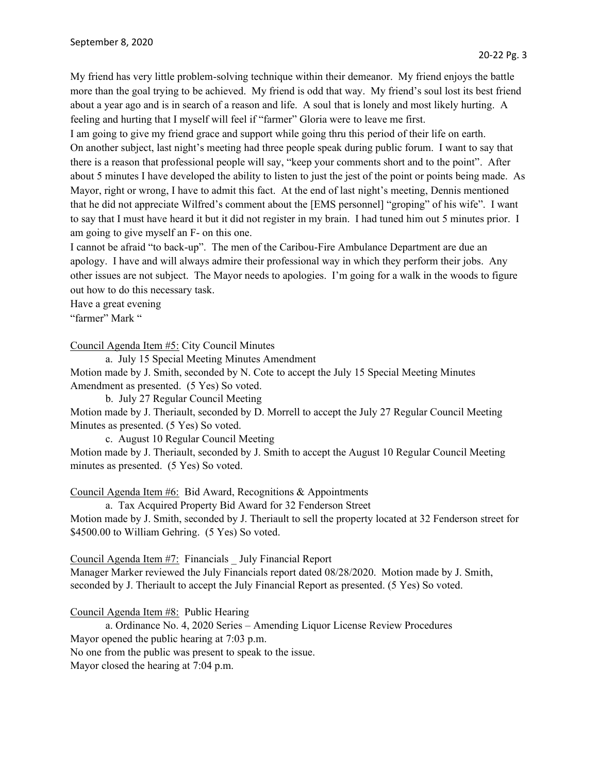My friend has very little problem-solving technique within their demeanor. My friend enjoys the battle more than the goal trying to be achieved. My friend is odd that way. My friend's soul lost its best friend about a year ago and is in search of a reason and life. A soul that is lonely and most likely hurting. A feeling and hurting that I myself will feel if "farmer" Gloria were to leave me first.

I am going to give my friend grace and support while going thru this period of their life on earth. On another subject, last night's meeting had three people speak during public forum. I want to say that there is a reason that professional people will say, "keep your comments short and to the point". After about 5 minutes I have developed the ability to listen to just the jest of the point or points being made. As Mayor, right or wrong, I have to admit this fact. At the end of last night's meeting, Dennis mentioned that he did not appreciate Wilfred's comment about the [EMS personnel] "groping" of his wife". I want to say that I must have heard it but it did not register in my brain. I had tuned him out 5 minutes prior. I am going to give myself an F- on this one.

I cannot be afraid "to back-up". The men of the Caribou-Fire Ambulance Department are due an apology. I have and will always admire their professional way in which they perform their jobs. Any other issues are not subject. The Mayor needs to apologies. I'm going for a walk in the woods to figure out how to do this necessary task.

Have a great evening "farmer" Mark "

Council Agenda Item #5: City Council Minutes

a. July 15 Special Meeting Minutes Amendment Motion made by J. Smith, seconded by N. Cote to accept the July 15 Special Meeting Minutes Amendment as presented. (5 Yes) So voted.

b. July 27 Regular Council Meeting

Motion made by J. Theriault, seconded by D. Morrell to accept the July 27 Regular Council Meeting Minutes as presented. (5 Yes) So voted.

c. August 10 Regular Council Meeting

Motion made by J. Theriault, seconded by J. Smith to accept the August 10 Regular Council Meeting minutes as presented. (5 Yes) So voted.

Council Agenda Item #6: Bid Award, Recognitions & Appointments

a. Tax Acquired Property Bid Award for 32 Fenderson Street

Motion made by J. Smith, seconded by J. Theriault to sell the property located at 32 Fenderson street for \$4500.00 to William Gehring. (5 Yes) So voted.

Council Agenda Item #7: Financials \_ July Financial Report Manager Marker reviewed the July Financials report dated 08/28/2020. Motion made by J. Smith, seconded by J. Theriault to accept the July Financial Report as presented. (5 Yes) So voted.

Council Agenda Item #8: Public Hearing

a. Ordinance No. 4, 2020 Series – Amending Liquor License Review Procedures Mayor opened the public hearing at 7:03 p.m. No one from the public was present to speak to the issue.

Mayor closed the hearing at 7:04 p.m.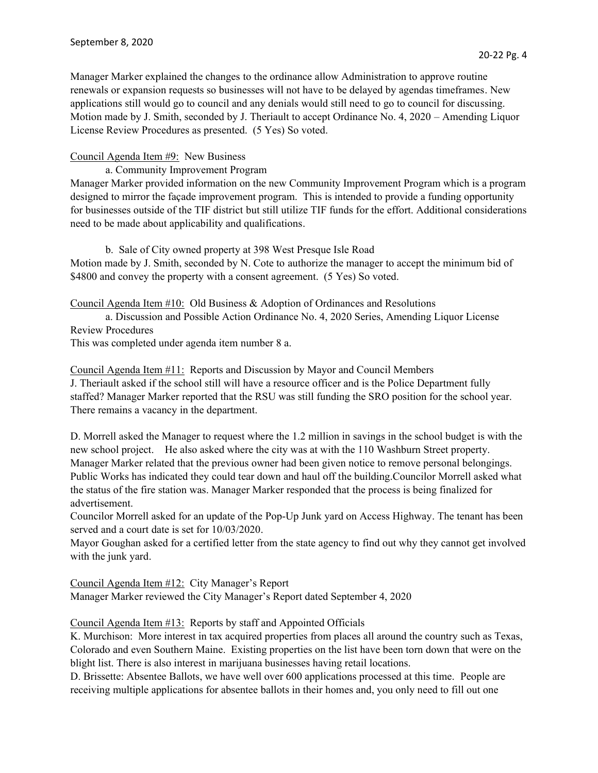Manager Marker explained the changes to the ordinance allow Administration to approve routine renewals or expansion requests so businesses will not have to be delayed by agendas timeframes. New applications still would go to council and any denials would still need to go to council for discussing. Motion made by J. Smith, seconded by J. Theriault to accept Ordinance No. 4, 2020 – Amending Liquor License Review Procedures as presented. (5 Yes) So voted.

## Council Agenda Item #9: New Business

a. Community Improvement Program

Manager Marker provided information on the new Community Improvement Program which is a program designed to mirror the façade improvement program. This is intended to provide a funding opportunity for businesses outside of the TIF district but still utilize TIF funds for the effort. Additional considerations need to be made about applicability and qualifications.

b. Sale of City owned property at 398 West Presque Isle Road Motion made by J. Smith, seconded by N. Cote to authorize the manager to accept the minimum bid of \$4800 and convey the property with a consent agreement. (5 Yes) So voted.

Council Agenda Item #10: Old Business & Adoption of Ordinances and Resolutions

a. Discussion and Possible Action Ordinance No. 4, 2020 Series, Amending Liquor License Review Procedures

This was completed under agenda item number 8 a.

Council Agenda Item #11: Reports and Discussion by Mayor and Council Members J. Theriault asked if the school still will have a resource officer and is the Police Department fully staffed? Manager Marker reported that the RSU was still funding the SRO position for the school year. There remains a vacancy in the department.

D. Morrell asked the Manager to request where the 1.2 million in savings in the school budget is with the new school project. He also asked where the city was at with the 110 Washburn Street property. Manager Marker related that the previous owner had been given notice to remove personal belongings. Public Works has indicated they could tear down and haul off the building.Councilor Morrell asked what the status of the fire station was. Manager Marker responded that the process is being finalized for advertisement.

Councilor Morrell asked for an update of the Pop-Up Junk yard on Access Highway. The tenant has been served and a court date is set for 10/03/2020.

Mayor Goughan asked for a certified letter from the state agency to find out why they cannot get involved with the junk yard.

Council Agenda Item #12: City Manager's Report

Manager Marker reviewed the City Manager's Report dated September 4, 2020

Council Agenda Item #13: Reports by staff and Appointed Officials

K. Murchison: More interest in tax acquired properties from places all around the country such as Texas, Colorado and even Southern Maine. Existing properties on the list have been torn down that were on the blight list. There is also interest in marijuana businesses having retail locations.

D. Brissette: Absentee Ballots, we have well over 600 applications processed at this time. People are receiving multiple applications for absentee ballots in their homes and, you only need to fill out one